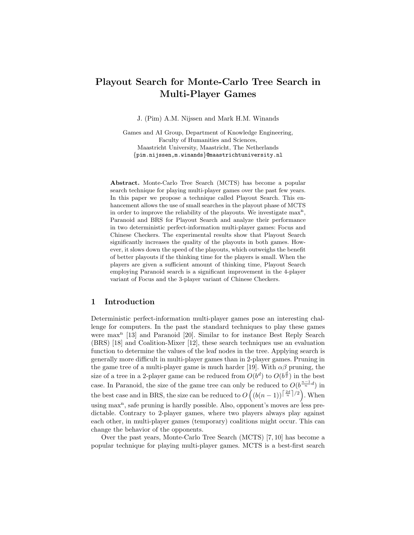# Playout Search for Monte-Carlo Tree Search in Multi-Player Games

J. (Pim) A.M. Nijssen and Mark H.M. Winands

Games and AI Group, Department of Knowledge Engineering, Faculty of Humanities and Sciences, Maastricht University, Maastricht, The Netherlands {pim.nijssen,m.winands}@maastrichtuniversity.nl

Abstract. Monte-Carlo Tree Search (MCTS) has become a popular search technique for playing multi-player games over the past few years. In this paper we propose a technique called Playout Search. This enhancement allows the use of small searches in the playout phase of MCTS in order to improve the reliability of the playouts. We investigate  $max<sup>n</sup>$ , Paranoid and BRS for Playout Search and analyze their performance in two deterministic perfect-information multi-player games: Focus and Chinese Checkers. The experimental results show that Playout Search significantly increases the quality of the playouts in both games. However, it slows down the speed of the playouts, which outweighs the benefit of better playouts if the thinking time for the players is small. When the players are given a sufficient amount of thinking time, Playout Search employing Paranoid search is a significant improvement in the 4-player variant of Focus and the 3-player variant of Chinese Checkers.

# 1 Introduction

Deterministic perfect-information multi-player games pose an interesting challenge for computers. In the past the standard techniques to play these games were max<sup>n</sup> [13] and Paranoid [20]. Similar to for instance Best Reply Search (BRS) [18] and Coalition-Mixer [12], these search techniques use an evaluation function to determine the values of the leaf nodes in the tree. Applying search is generally more difficult in multi-player games than in 2-player games. Pruning in the game tree of a multi-player game is much harder [19]. With  $\alpha\beta$  pruning, the size of a tree in a 2-player game can be reduced from  $O(b^d)$  to  $O(b^{\frac{d}{2}})$  in the best case. In Paranoid, the size of the game tree can only be reduced to  $O(b^{\frac{n-1}{n}}d)$  in the best case and in BRS, the size can be reduced to  $O((b(n-1))^{\left\lceil \frac{2d}{n}\right\rceil/2})$ . When using max<sup>n</sup>, safe pruning is hardly possible. Also, opponent's moves are less predictable. Contrary to 2-player games, where two players always play against each other, in multi-player games (temporary) coalitions might occur. This can change the behavior of the opponents.

Over the past years, Monte-Carlo Tree Search (MCTS) [7, 10] has become a popular technique for playing multi-player games. MCTS is a best-first search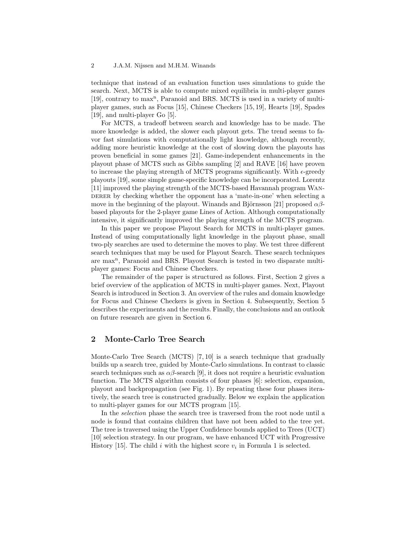technique that instead of an evaluation function uses simulations to guide the search. Next, MCTS is able to compute mixed equilibria in multi-player games [19], contrary to max<sup>n</sup>, Paranoid and BRS. MCTS is used in a variety of multiplayer games, such as Focus [15], Chinese Checkers [15, 19], Hearts [19], Spades [19], and multi-player Go [5].

For MCTS, a tradeoff between search and knowledge has to be made. The more knowledge is added, the slower each playout gets. The trend seems to favor fast simulations with computationally light knowledge, although recently, adding more heuristic knowledge at the cost of slowing down the playouts has proven beneficial in some games [21]. Game-independent enhancements in the playout phase of MCTS such as Gibbs sampling [2] and RAVE [16] have proven to increase the playing strength of MCTS programs significantly. With  $\epsilon$ -greedy playouts [19], some simple game-specific knowledge can be incorporated. Lorentz [11] improved the playing strength of the MCTS-based Havannah program Wanderer by checking whether the opponent has a 'mate-in-one' when selecting a move in the beginning of the playout. Winands and Björnsson [21] proposed  $\alpha\beta$ based playouts for the 2-player game Lines of Action. Although computationally intensive, it significantly improved the playing strength of the MCTS program.

In this paper we propose Playout Search for MCTS in multi-player games. Instead of using computationally light knowledge in the playout phase, small two-ply searches are used to determine the moves to play. We test three different search techniques that may be used for Playout Search. These search techniques are max<sup>n</sup>, Paranoid and BRS. Playout Search is tested in two disparate multiplayer games: Focus and Chinese Checkers.

The remainder of the paper is structured as follows. First, Section 2 gives a brief overview of the application of MCTS in multi-player games. Next, Playout Search is introduced in Section 3. An overview of the rules and domain knowledge for Focus and Chinese Checkers is given in Section 4. Subsequently, Section 5 describes the experiments and the results. Finally, the conclusions and an outlook on future research are given in Section 6.

## 2 Monte-Carlo Tree Search

Monte-Carlo Tree Search (MCTS) [7, 10] is a search technique that gradually builds up a search tree, guided by Monte-Carlo simulations. In contrast to classic search techniques such as  $\alpha\beta$ -search [9], it does not require a heuristic evaluation function. The MCTS algorithm consists of four phases [6]: selection, expansion, playout and backpropagation (see Fig. 1). By repeating these four phases iteratively, the search tree is constructed gradually. Below we explain the application to multi-player games for our MCTS program [15].

In the selection phase the search tree is traversed from the root node until a node is found that contains children that have not been added to the tree yet. The tree is traversed using the Upper Confidence bounds applied to Trees (UCT) [10] selection strategy. In our program, we have enhanced UCT with Progressive History [15]. The child i with the highest score  $v_i$  in Formula 1 is selected.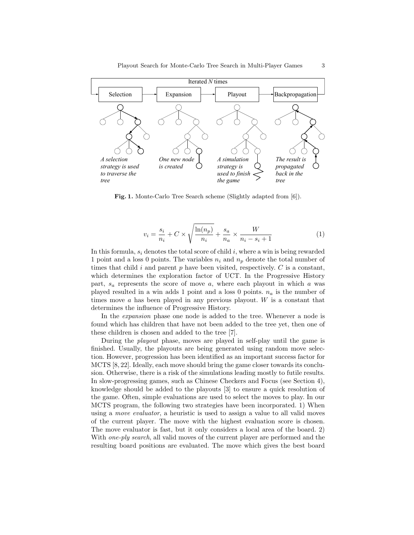

Fig. 1. Monte-Carlo Tree Search scheme (Slightly adapted from [6]).

$$
v_i = \frac{s_i}{n_i} + C \times \sqrt{\frac{\ln(n_p)}{n_i}} + \frac{s_a}{n_a} \times \frac{W}{n_i - s_i + 1}
$$
 (1)

In this formula,  $s_i$  denotes the total score of child i, where a win is being rewarded 1 point and a loss 0 points. The variables  $n_i$  and  $n_p$  denote the total number of times that child  $i$  and parent  $p$  have been visited, respectively.  $C$  is a constant, which determines the exploration factor of UCT. In the Progressive History part,  $s_a$  represents the score of move a, where each playout in which a was played resulted in a win adds 1 point and a loss 0 points.  $n_a$  is the number of times move  $a$  has been played in any previous playout.  $W$  is a constant that determines the influence of Progressive History.

In the expansion phase one node is added to the tree. Whenever a node is found which has children that have not been added to the tree yet, then one of these children is chosen and added to the tree [7].

During the playout phase, moves are played in self-play until the game is finished. Usually, the playouts are being generated using random move selection. However, progression has been identified as an important success factor for MCTS [8, 22]. Ideally, each move should bring the game closer towards its conclusion. Otherwise, there is a risk of the simulations leading mostly to futile results. In slow-progressing games, such as Chinese Checkers and Focus (see Section 4), knowledge should be added to the playouts [3] to ensure a quick resolution of the game. Often, simple evaluations are used to select the moves to play. In our MCTS program, the following two strategies have been incorporated. 1) When using a move evaluator, a heuristic is used to assign a value to all valid moves of the current player. The move with the highest evaluation score is chosen. The move evaluator is fast, but it only considers a local area of the board. 2) With one-ply search, all valid moves of the current player are performed and the resulting board positions are evaluated. The move which gives the best board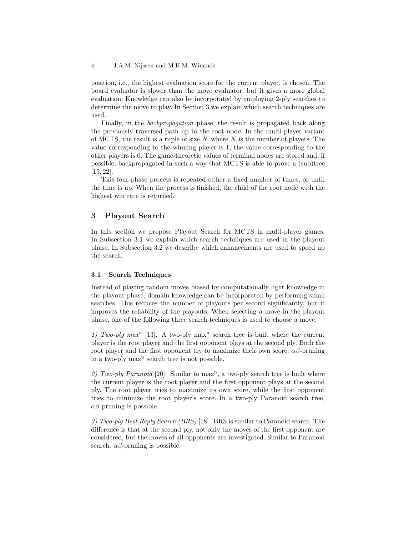position, i.e., the highest evaluation score for the current player, is chosen. The board evaluator is slower than the move evaluator, but it gives a more global evaluation. Knowledge can also be incorporated by employing 2-ply searches to determine the move to play. In Section 3 we explain which search techniques are used.

Finally, in the backpropagation phase, the result is propagated back along the previously traversed path up to the root node. In the multi-player variant of MCTS, the result is a tuple of size  $N$ , where  $N$  is the number of players. The value corresponding to the winning player is 1, the value corresponding to the other players is 0. The game-theoretic values of terminal nodes are stored and, if possible, backpropagated in such a way that MCTS is able to prove a (sub)tree [15, 22].

This four-phase process is repeated either a fixed number of times, or until the time is up. When the process is finished, the child of the root node with the highest win rate is returned.

# 3 Playout Search

In this section we propose Playout Search for MCTS in multi-player games. In Subsection 3.1 we explain which search techniques are used in the playout phase. In Subsection 3.2 we describe which enhancements are used to speed up the search.

## 3.1 Search Techniques

Instead of playing random moves biased by computationally light knowledge in the playout phase, domain knowledge can be incorporated by performing small searches. This reduces the number of playouts per second significantly, but it improves the reliability of the playouts. When selecting a move in the playout phase, one of the following three search techniques is used to choose a move.

1) Two-ply max<sup>n</sup> [13]. A two-ply max<sup>n</sup> search tree is built where the current player is the root player and the first opponent plays at the second ply. Both the root player and the first opponent try to maximize their own score.  $\alpha\beta$ -pruning in a two-ply max<sup>n</sup> search tree is not possible.

2) Two-ply Paranoid [20]. Similar to  $max<sup>n</sup>$ , a two-ply search tree is built where the current player is the root player and the first opponent plays at the second ply. The root player tries to maximize its own score, while the first opponent tries to minimize the root player's score. In a two-ply Paranoid search tree,  $\alpha\beta$ -pruning is possible.

3) Two-ply Best Reply Search (BRS) [18]. BRS is similar to Paranoid search. The difference is that at the second ply, not only the moves of the first opponent are considered, but the moves of all opponents are investigated. Similar to Paranoid search,  $\alpha\beta$ -pruning is possible.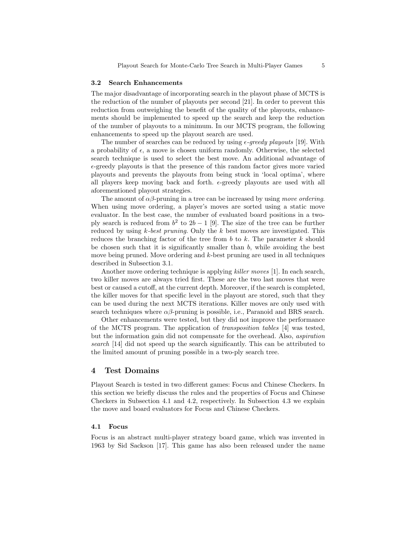#### 3.2 Search Enhancements

The major disadvantage of incorporating search in the playout phase of MCTS is the reduction of the number of playouts per second [21]. In order to prevent this reduction from outweighing the benefit of the quality of the playouts, enhancements should be implemented to speed up the search and keep the reduction of the number of playouts to a minimum. In our MCTS program, the following enhancements to speed up the playout search are used.

The number of searches can be reduced by using  $\epsilon$ -greedy playouts [19]. With a probability of  $\epsilon$ , a move is chosen uniform randomly. Otherwise, the selected search technique is used to select the best move. An additional advantage of  $\epsilon$ -greedy playouts is that the presence of this random factor gives more varied playouts and prevents the playouts from being stuck in 'local optima', where all players keep moving back and forth.  $\epsilon$ -greedy playouts are used with all aforementioned playout strategies.

The amount of  $\alpha\beta$ -pruning in a tree can be increased by using move ordering. When using move ordering, a player's moves are sorted using a static move evaluator. In the best case, the number of evaluated board positions in a twoply search is reduced from  $b^2$  to  $2b-1$  [9]. The size of the tree can be further reduced by using  $k$ -best pruning. Only the  $k$  best moves are investigated. This reduces the branching factor of the tree from  $b$  to  $k$ . The parameter  $k$  should be chosen such that it is significantly smaller than  $b$ , while avoiding the best move being pruned. Move ordering and k-best pruning are used in all techniques described in Subsection 3.1.

Another move ordering technique is applying killer moves [1]. In each search, two killer moves are always tried first. These are the two last moves that were best or caused a cutoff, at the current depth. Moreover, if the search is completed, the killer moves for that specific level in the playout are stored, such that they can be used during the next MCTS iterations. Killer moves are only used with search techniques where  $\alpha\beta$ -pruning is possible, i.e., Paranoid and BRS search.

Other enhancements were tested, but they did not improve the performance of the MCTS program. The application of transposition tables [4] was tested, but the information gain did not compensate for the overhead. Also, aspiration search [14] did not speed up the search significantly. This can be attributed to the limited amount of pruning possible in a two-ply search tree.

## 4 Test Domains

Playout Search is tested in two different games: Focus and Chinese Checkers. In this section we briefly discuss the rules and the properties of Focus and Chinese Checkers in Subsection 4.1 and 4.2, respectively. In Subsection 4.3 we explain the move and board evaluators for Focus and Chinese Checkers.

### 4.1 Focus

Focus is an abstract multi-player strategy board game, which was invented in 1963 by Sid Sackson [17]. This game has also been released under the name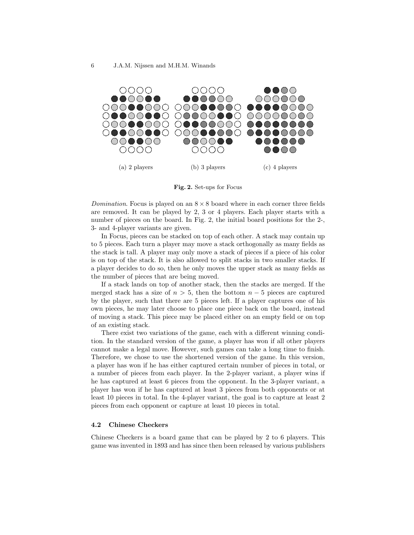

Fig. 2. Set-ups for Focus

Domination. Focus is played on an  $8 \times 8$  board where in each corner three fields are removed. It can be played by 2, 3 or 4 players. Each player starts with a number of pieces on the board. In Fig. 2, the initial board positions for the 2-, 3- and 4-player variants are given.

In Focus, pieces can be stacked on top of each other. A stack may contain up to 5 pieces. Each turn a player may move a stack orthogonally as many fields as the stack is tall. A player may only move a stack of pieces if a piece of his color is on top of the stack. It is also allowed to split stacks in two smaller stacks. If a player decides to do so, then he only moves the upper stack as many fields as the number of pieces that are being moved.

If a stack lands on top of another stack, then the stacks are merged. If the merged stack has a size of  $n > 5$ , then the bottom  $n - 5$  pieces are captured by the player, such that there are 5 pieces left. If a player captures one of his own pieces, he may later choose to place one piece back on the board, instead of moving a stack. This piece may be placed either on an empty field or on top of an existing stack.

There exist two variations of the game, each with a different winning condition. In the standard version of the game, a player has won if all other players cannot make a legal move. However, such games can take a long time to finish. Therefore, we chose to use the shortened version of the game. In this version, a player has won if he has either captured certain number of pieces in total, or a number of pieces from each player. In the 2-player variant, a player wins if he has captured at least 6 pieces from the opponent. In the 3-player variant, a player has won if he has captured at least 3 pieces from both opponents or at least 10 pieces in total. In the 4-player variant, the goal is to capture at least 2 pieces from each opponent or capture at least 10 pieces in total.

### 4.2 Chinese Checkers

Chinese Checkers is a board game that can be played by 2 to 6 players. This game was invented in 1893 and has since then been released by various publishers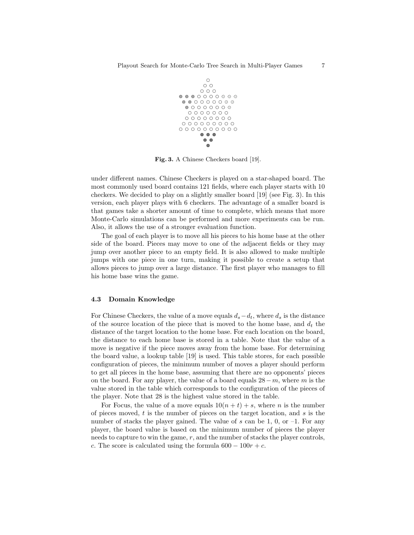

Fig. 3. A Chinese Checkers board [19].

under different names. Chinese Checkers is played on a star-shaped board. The most commonly used board contains 121 fields, where each player starts with 10 checkers. We decided to play on a slightly smaller board [19] (see Fig. 3). In this version, each player plays with 6 checkers. The advantage of a smaller board is that games take a shorter amount of time to complete, which means that more Monte-Carlo simulations can be performed and more experiments can be run. Also, it allows the use of a stronger evaluation function.

The goal of each player is to move all his pieces to his home base at the other side of the board. Pieces may move to one of the adjacent fields or they may jump over another piece to an empty field. It is also allowed to make multiple jumps with one piece in one turn, making it possible to create a setup that allows pieces to jump over a large distance. The first player who manages to fill his home base wins the game.

#### 4.3 Domain Knowledge

For Chinese Checkers, the value of a move equals  $d_s-d_t$ , where  $d_s$  is the distance of the source location of the piece that is moved to the home base, and  $d_t$  the distance of the target location to the home base. For each location on the board, the distance to each home base is stored in a table. Note that the value of a move is negative if the piece moves away from the home base. For determining the board value, a lookup table [19] is used. This table stores, for each possible configuration of pieces, the minimum number of moves a player should perform to get all pieces in the home base, assuming that there are no opponents' pieces on the board. For any player, the value of a board equals  $28 - m$ , where m is the value stored in the table which corresponds to the configuration of the pieces of the player. Note that 28 is the highest value stored in the table.

For Focus, the value of a move equals  $10(n + t) + s$ , where *n* is the number of pieces moved,  $t$  is the number of pieces on the target location, and  $s$  is the number of stacks the player gained. The value of s can be 1, 0, or  $-1$ . For any player, the board value is based on the minimum number of pieces the player needs to capture to win the game,  $r$ , and the number of stacks the player controls, c. The score is calculated using the formula  $600 - 100r + c$ .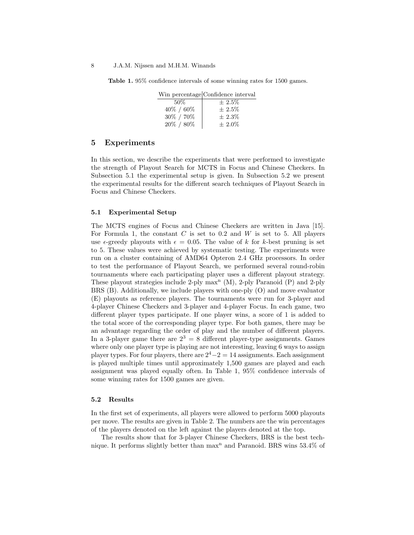Table 1. 95% confidence intervals of some winning rates for 1500 games.

|               | Win percentage Confidence interval |
|---------------|------------------------------------|
| 50\%          | $\pm 2.5\%$                        |
| $40\% / 60\%$ | $\pm 2.5\%$                        |
| 30% / 70%     | $\pm 2.3\%$                        |
| $20\% / 80\%$ | $\pm 2.0\%$                        |

## 5 Experiments

In this section, we describe the experiments that were performed to investigate the strength of Playout Search for MCTS in Focus and Chinese Checkers. In Subsection 5.1 the experimental setup is given. In Subsection 5.2 we present the experimental results for the different search techniques of Playout Search in Focus and Chinese Checkers.

## 5.1 Experimental Setup

The MCTS engines of Focus and Chinese Checkers are written in Java [15]. For Formula 1, the constant  $C$  is set to 0.2 and  $W$  is set to 5. All players use  $\epsilon$ -greedy playouts with  $\epsilon = 0.05$ . The value of k for k-best pruning is set to 5. These values were achieved by systematic testing. The experiments were run on a cluster containing of AMD64 Opteron 2.4 GHz processors. In order to test the performance of Playout Search, we performed several round-robin tournaments where each participating player uses a different playout strategy. These playout strategies include 2-ply  $max<sup>n</sup>$  (M), 2-ply Paranoid (P) and 2-ply BRS (B). Additionally, we include players with one-ply (O) and move evaluator (E) playouts as reference players. The tournaments were run for 3-player and 4-player Chinese Checkers and 3-player and 4-player Focus. In each game, two different player types participate. If one player wins, a score of 1 is added to the total score of the corresponding player type. For both games, there may be an advantage regarding the order of play and the number of different players. In a 3-player game there are  $2^3 = 8$  different player-type assignments. Games where only one player type is playing are not interesting, leaving 6 ways to assign player types. For four players, there are  $2^4-2=14$  assignments. Each assignment is played multiple times until approximately 1,500 games are played and each assignment was played equally often. In Table 1, 95% confidence intervals of some winning rates for 1500 games are given.

### 5.2 Results

In the first set of experiments, all players were allowed to perform 5000 playouts per move. The results are given in Table 2. The numbers are the win percentages of the players denoted on the left against the players denoted at the top.

The results show that for 3-player Chinese Checkers, BRS is the best technique. It performs slightly better than  $max<sup>n</sup>$  and Paranoid. BRS wins 53.4% of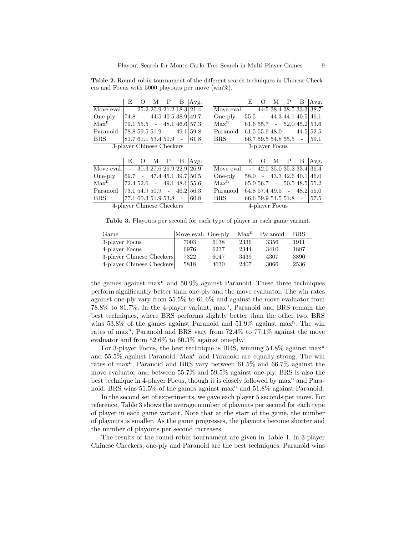Table 2. Round-robin tournament of the different search techniques in Chinese Checkers and Focus with 5000 playouts per move (win<sup> $\%$ </sup>).

|                                             | E               | $\Omega$            | М | P | В      | Avg.                                                              |                  | E                   | $\Omega$ | М | P                     | B                     | Avg.                       |
|---------------------------------------------|-----------------|---------------------|---|---|--------|-------------------------------------------------------------------|------------------|---------------------|----------|---|-----------------------|-----------------------|----------------------------|
| Move eval.                                  | $\sim$ 10 $\pm$ |                     |   |   |        | 25.2 20.9 21.2 18.3 21.4                                          | Move eval.       | $\sim$              |          |   |                       |                       | 44.5 38.4 38.5 33.3 38.7   |
| One-ply                                     |                 | 74.8 -              |   |   |        | 44.5 40.5 38.9 49.7                                               | One-ply          | 55.5                |          |   |                       | $-44.344.140.5$       | 46.1                       |
| Max <sup>n</sup>                            |                 |                     |   |   |        | $79.1\ 55.5 - 48.1\ 46.6\ 57.3$                                   | Max <sup>n</sup> |                     |          |   |                       |                       | $61.655.7 - 52.045.2153.6$ |
| Paranoid                                    |                 |                     |   |   |        | $78.859.551.9 - 49.1159.8$                                        | Paranoid         | 61.5 55.9 48.0      |          |   |                       | $-44.5$               | 52.5                       |
| <b>BRS</b>                                  |                 | 81.7 61.1 53.4 50.9 |   |   | $\sim$ | 61.8                                                              | <b>BRS</b>       |                     |          |   | 66.7 59.5 54.8 55.5 - |                       | 59.1                       |
| 3-player Chinese Checkers<br>3-player Focus |                 |                     |   |   |        |                                                                   |                  |                     |          |   |                       |                       |                            |
|                                             |                 |                     |   |   |        |                                                                   |                  |                     |          |   |                       |                       |                            |
|                                             |                 |                     |   |   |        |                                                                   |                  |                     |          |   |                       |                       |                            |
|                                             | E               | $\Omega$            | М | P | В      | Avg.                                                              |                  | E                   | $\Omega$ | М | P                     | B                     | Avg.                       |
| Move eval.                                  | $\sim 100$      |                     |   |   |        | 30.3 27.6 26.9 22.9 26.9                                          | Move eval.       | $\sim 10^{-11}$     |          |   |                       |                       | 42.0 35.0 35.2 33.4 36.4   |
| One-ply                                     |                 |                     |   |   |        | $\begin{bmatrix} 69.7 & -47.4 & 45.1 & 39.7 & 50.5 \end{bmatrix}$ | One-ply          | 58.0                |          |   |                       | $-43.342.640.1$       | 46.0                       |
| Max <sup>n</sup>                            |                 |                     |   |   |        | $72.452.6 - 49.148.155.6$                                         | Max <sup>n</sup> |                     |          |   |                       |                       | $65.056.7 - 50.548.5155.2$ |
| Paranoid                                    |                 |                     |   |   |        | $ 73.1\,54.9\,50.9 - 46.2\,56.3$                                  | Paranoid         |                     |          |   |                       | 64.8 57.4 49.5 - 48.2 | 55.0                       |
| <b>BRS</b>                                  |                 | 77.1 60.3 51.9 53.8 |   |   | $\sim$ | 60.8                                                              | <b>BRS</b>       | 66.6 59.9 51.5 51.8 |          |   |                       | $\sim$                | 57.5                       |

Table 3. Playouts per second for each type of player in each game variant.

| Game                      | Move eval. One-ply |      | Max <sup>n</sup> | Paranoid | <b>BRS</b> |
|---------------------------|--------------------|------|------------------|----------|------------|
| 3-player Focus            | 7003               | 6138 | 2336             | 3356     | 1911       |
| 4-player Focus            | 6976               | 6237 | 2344             | 3410     | 1887       |
| 3-player Chinese Checkers | 7322               | 6047 | 3439             | 4307     | 3890       |
| 4-player Chinese Checkers | 5818               | 4630 | 2407             | 3066     | 2536       |

the games against max<sup>n</sup> and 50.9% against Paranoid. These three techniques perform significantly better than one-ply and the move evaluator. The win rates against one-ply vary from 55.5% to 61.6% and against the move evaluator from 78.8% to 81.7%. In the 4-player variant, max<sup>n</sup>, Paranoid and BRS remain the best techniques, where BRS performs slightly better than the other two. BRS wins  $53.8\%$  of the games against Paranoid and  $51.9\%$  against max<sup>n</sup>. The win rates of max<sup>n</sup>, Paranoid and BRS vary from 72.4% to 77.1% against the move evaluator and from 52.6% to 60.3% against one-ply.

For 3-player Focus, the best technique is BRS, winning 54.8% against max<sup>n</sup> and 55.5% against Paranoid. Max<sup>n</sup> and Paranoid are equally strong. The win rates of max<sup>n</sup>, Paranoid and BRS vary between 61.5% and 66.7% against the move evaluator and between 55.7% and 59.5% against one-ply. BRS is also the best technique in 4-player Focus, though it is closely followed by  $\max^n$  and Paranoid. BRS wins  $51.5\%$  of the games against max<sup>n</sup> and  $51.8\%$  against Paranoid.

In the second set of experiments, we gave each player 5 seconds per move. For reference, Table 3 shows the average number of playouts per second for each type of player in each game variant. Note that at the start of the game, the number of playouts is smaller. As the game progresses, the playouts become shorter and the number of playouts per second increases.

The results of the round-robin tournament are given in Table 4. In 3-player Chinese Checkers, one-ply and Paranoid are the best techniques. Paranoid wins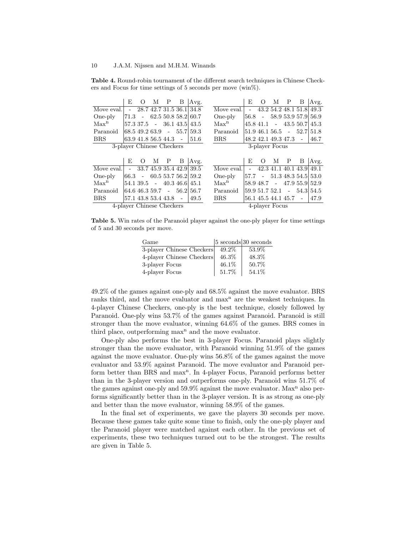Table 4. Round-robin tournament of the different search techniques in Chinese Checkers and Focus for time settings of 5 seconds per move  $(\text{win}\%)$ .

|                                             | E          | $\Omega$ | М                     | Ρ            | B                          | Avg.                                                                   |                  | F,     | $\left( \right)$ | М | P                     | В                              | Avg.                                                              |
|---------------------------------------------|------------|----------|-----------------------|--------------|----------------------------|------------------------------------------------------------------------|------------------|--------|------------------|---|-----------------------|--------------------------------|-------------------------------------------------------------------|
| Move eval.                                  | $\sim$     |          |                       |              |                            | 28.7 42.7 31.5 36.1 34.8                                               | Move eval.       | $\sim$ |                  |   |                       | 43.2 54.2 48.1 51.8            | 49.3                                                              |
| One-ply                                     |            |          |                       |              |                            | $71.3 - 62.550.858.2160.7$                                             | One-ply          |        |                  |   |                       | $56.8 - 58.953.957.9$          | 56.9                                                              |
| Max <sup>n</sup>                            |            |          |                       |              |                            | $57.3\,37.5$ - $36.1\,43.5\,43.5$                                      | Max <sup>n</sup> |        |                  |   |                       | $45.8$ 41.1 - 43.5 50.7        | 45.3                                                              |
| Paranoid                                    |            |          |                       |              |                            | $\begin{array}{cccc} 68.5 & 49.2 & 63.9 & - & 55.7 & 59.3 \end{array}$ | Paranoid         |        |                  |   |                       | $ 51.9\;46.1\;56.5\;\;$ - 52.7 | 51.8                                                              |
| <b>BRS</b>                                  |            |          | 63.9 41.8 56.5 44.3 - |              |                            | 51.6                                                                   | <b>BRS</b>       |        |                  |   | 48.2 42.1 49.3 47.3   | $\sim$                         | 46.7                                                              |
| 3-player Chinese Checkers<br>3-player Focus |            |          |                       |              |                            |                                                                        |                  |        |                  |   |                       |                                |                                                                   |
|                                             |            |          |                       |              |                            |                                                                        |                  |        |                  |   |                       |                                |                                                                   |
|                                             | E          | $\Omega$ | M                     | $\mathbf{P}$ | B                          | Avg.                                                                   |                  | E      | $\Omega$         | М | P                     | B                              | Avg.                                                              |
|                                             |            |          |                       |              |                            |                                                                        |                  |        |                  |   |                       |                                |                                                                   |
| Move eval.                                  | $\omega$ . |          |                       |              |                            | 33.7 45.9 35.4 42.9 39.5                                               | Move eval.       | $\sim$ |                  |   |                       | 42.3 41.1 40.1 43.9            | 49.1                                                              |
| One-ply                                     |            |          |                       |              |                            | $ 66.3 - 60.553.756.2 59.2 $                                           | One-ply          |        |                  |   |                       |                                | $ 57.7 - 51.3 \; 48.3 \; 54.5 \; 53.0$                            |
| Max <sup>n</sup>                            |            |          |                       |              | $54.139.5 - 40.346.6145.1$ |                                                                        | Max <sup>n</sup> |        |                  |   |                       |                                | $\begin{bmatrix} 58.9 & 48.7 & -47.9 & 55.9 & 52.9 \end{bmatrix}$ |
| Paranoid                                    |            |          |                       |              |                            | $ 64.6\;46.3\;59.7\;\;\;$ - $ 56.2 \;56.7\;\;$                         | Paranoid         |        | 59.9 51.7 52.1   |   |                       |                                | $-54.3 54.5$                                                      |
| <b>BRS</b>                                  |            |          | 57.1 43.8 53.4 43.8 - |              |                            | 49.5                                                                   | <b>BRS</b>       |        |                  |   | 56.1 45.5 44.1 45.7 - |                                | 47.9                                                              |

Table 5. Win rates of the Paranoid player against the one-ply player for time settings of 5 and 30 seconds per move.

| Game                      |          | $ 5 \text{ seconds} 30 \text{ seconds}$ |
|---------------------------|----------|-----------------------------------------|
| 3-player Chinese Checkers | $49.2\%$ | 53.9%                                   |
| 4-player Chinese Checkers | $46.3\%$ | 48.3%                                   |
| 3-player Focus            | 46.1\%   | 50.7%                                   |
| 4-player Focus            | 51.7%    | 54.1%                                   |

49.2% of the games against one-ply and 68.5% against the move evaluator. BRS ranks third, and the move evaluator and  $\max<sup>n</sup>$  are the weakest techniques. In 4-player Chinese Checkers, one-ply is the best technique, closely followed by Paranoid. One-ply wins 53.7% of the games against Paranoid. Paranoid is still stronger than the move evaluator, winning 64.6% of the games. BRS comes in third place, outperforming  $max<sup>n</sup>$  and the move evaluator.

One-ply also performs the best in 3-player Focus. Paranoid plays slightly stronger than the move evaluator, with Paranoid winning 51.9% of the games against the move evaluator. One-ply wins 56.8% of the games against the move evaluator and 53.9% against Paranoid. The move evaluator and Paranoid perform better than BRS and max<sup>n</sup>. In 4-player Focus, Paranoid performs better than in the 3-player version and outperforms one-ply. Paranoid wins 51.7% of the games against one-ply and  $59.9\%$  against the move evaluator. Max<sup>n</sup> also performs significantly better than in the 3-player version. It is as strong as one-ply and better than the move evaluator, winning 58.9% of the games.

In the final set of experiments, we gave the players 30 seconds per move. Because these games take quite some time to finish, only the one-ply player and the Paranoid player were matched against each other. In the previous set of experiments, these two techniques turned out to be the strongest. The results are given in Table 5.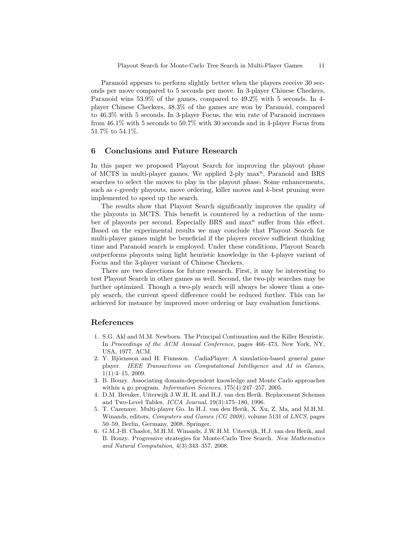Paranoid appears to perform slightly better when the players receive 30 seconds per move compared to 5 seconds per move. In 3-player Chinese Checkers, Paranoid wins 53.9% of the games, compared to 49.2% with 5 seconds. In 4 player Chinese Checkers, 48.3% of the games are won by Paranoid, compared to 46.3% with 5 seconds. In 3-player Focus, the win rate of Paranoid increases from 46.1% with 5 seconds to 50.7% with 30 seconds and in 4-player Focus from 51.7% to 54.1%.

## 6 Conclusions and Future Research

In this paper we proposed Playout Search for improving the playout phase of MCTS in multi-player games. We applied 2-ply max<sup>n</sup>, Paranoid and BRS searches to select the moves to play in the playout phase. Some enhancements, such as  $\epsilon$ -greedy playouts, move ordering, killer moves and  $k$ -best pruning were implemented to speed up the search.

The results show that Playout Search significantly improves the quality of the playouts in MCTS. This benefit is countered by a reduction of the number of playouts per second. Especially BRS and max<sup>n</sup> suffer from this effect. Based on the experimental results we may conclude that Playout Search for multi-player games might be beneficial if the players receive sufficient thinking time and Paranoid search is employed. Under these conditions, Playout Search outperforms playouts using light heuristic knowledge in the 4-player variant of Focus and the 3-player variant of Chinese Checkers.

There are two directions for future research. First, it may be interesting to test Playout Search in other games as well. Second, the two-ply searches may be further optimized. Though a two-ply search will always be slower than a oneply search, the current speed difference could be reduced further. This can be achieved for instance by improved move ordering or lazy evaluation functions.

# References

- 1. S.G. Akl and M.M. Newborn. The Principal Continuation and the Killer Heuristic. In Proceedings of the ACM Annual Conference, pages 466–473, New York, NY, USA, 1977. ACM.
- 2. Y. Björnsson and H. Finnsson. CadiaPlayer: A simulation-based general game player. IEEE Transactions on Computational Intelligence and AI in Games, 1(1):4–15, 2009.
- 3. B. Bouzy. Associating domain-dependent knowledge and Monte Carlo approaches within a go program. *Information Sciences*, 175(4):247–257, 2005.
- 4. D.M. Breuker, Uiterwijk J.W.H, H, and H.J. van den Herik. Replacement Schemes and Two-Level Tables. ICCA Journal, 19(3):175–180, 1996.
- 5. T. Cazenave. Multi-player Go. In H.J. van den Herik, X. Xu, Z. Ma, and M.H.M. Winands, editors, *Computers and Games (CG 2008)*, volume 5131 of *LNCS*, pages 50–59, Berlin, Germany, 2008. Springer.
- 6. G.M.J-B. Chaslot, M.H.M. Winands, J.W.H.M. Uiterwijk, H.J. van den Herik, and B. Bouzy. Progressive strategies for Monte-Carlo Tree Search. New Mathematics and Natural Computation, 4(3):343–357, 2008.